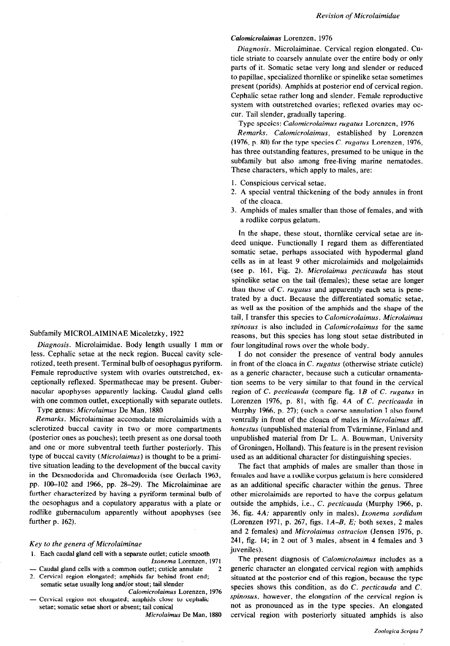Revision of Microlaimidae

Diagnosis. Microlaiminae. Cervical region elongated. Cuticle striate to coarsely annulate over the entire body or only parts of it. Somatic setae very long and slender or reduced to papillae, specialized thornlike or spinelike setae sometimes present (porids). Amphids at posterior end of cervical region. Cephalic setae rather long and slender. Female reproductive system with outstretched ovaries; reflexed ovaries may occur. Tail slender, gradually tapering.

Type species: Calomicrolaimus rugatus Lorenzen, 1976

Remarks. Calomicrolaimus, established by Lorenzen (1976, p. 80) for the type species C. rugatus Lorenzen, 1976, has three outstanding features, presumed to be unique in the subfamily but also among free-living marine nematodes. These characters, which apply to males, are:

- 1. Conspicious cervical setae.
- 2. A special ventral thickening of the body annules in front of the cloaca.
- 3. Amphids of males smaller than those of females, and with a rodlike corpus gelatum.

In the shape, these stout, thornlike cervical setae are indeed unique. Functionally I regard them as differentiated somatic setae, perhaps associated with hypodermal gland cells as in at least 9 other microlaimids and molgolaimids (see p. 161, Fig. 2). Microlaimus pecticauda has stout spinelike setae on the tail (females); these setae are longer than those of  $C$ . *rugatus* and apparently each seta is penetrated by a duct. Because the differentiated somatic setae, as well as the position of the amphids and the shape of the tail, I transfer this species to Calomicrolaimus. Microlaimus spinosus is also included in *Calomicrolaimus* for the same reasons, but this species has long stout setae distributed in four longitudinal rows over the whole body.

I do not consider the presence of ventral body annules in front of the cloaca in C. rugatus (otherwise striate cuticle) as a generic character, because such a cuticular ornamentation seems to be very similar to that found in the cervical region of C. pecticauda (compare fig. 1B of C. rugatus in Lorenzen 1976, p. 81, with fig. 4A of C. pecticauda in Murphy 1966, p. 27); (such a coarse annulation I also found ventrally in front of the cloaca of males in Microlaimus aff. honestus (unpublished material from Tvärminne, Finland and unpublished material from Dr L. A. Bouwman, University of Groningen, Holland). This feature is in the present revision used as an additional character for distinguishing species.

The fact that amphids of males are smaller than those in females and have a rodlike corpus gelatum is here considered as an additional specific character within the genus. Three other microlaimids are reported to have the corpus gelatum outside the amphids, i.e., C. pecticauda (Murphy 1966, p. 36, fig. 4A; apparently only in males), Ixonema sordidum (Lorenzen 1971, p. 267, figs. IA-B, E; both sexes, 2 males and 2 females) and Microlaimus ostracion (Jensen 1976, p. 241, fig. 14; in 2 out of 3 males, absent in 4 females and 3 juveniles).

The present diagnosis of Calomicrolaimus includes as a generic character an elongated cervical region with amphids situated at the posterior end of this region, because the type species shows this condition, as do  $C$ . *pecticauda* and  $C$ . spinosus, however, the elongation of the cervical region is not as pronounced as in the type species. An elongated cervical region with posteriorly situated amphids is also

## Subfamily MICROLAIMINAE Micoletzky, 1922

Diagnosis. Microlaimidae. Body length usually 1 mm or less. Cephalic setae at the neck region. Buccal cavity sclerotized, teeth present. Terminal bulb of oesophagus pyriform. Female reproductive system with ovaries outstretched, exceptionally reflexed. Spermathecae may be present. Gubernacular apophyses apparently lacking. Caudal gland cells with one common outlet, exceptionally with separate outlets.

Type genus: Microlaimus De Man, 1880

Remarks. Microlaiminae accomodate microlaimids with a sclerotized buccal cavity in two or more compartments (posterior ones as pouches); teeth present as one dorsal tooth and one or more subventral teeth further posteriorly. This type of buccal cavity (Microlaimus) is thought to be a primitive situation leading to the development of the buccal cavity in the Desmodorida and Chromadorida (see Gerlach 1963, pp. 100-102 and 1966, pp. 28-29). The Microlaiminae are further characterized by having a pyriform terminal bulb of the oesophagus and a copulatory apparatus with a plate or rodlike gubernaculum apparently without apophyses (see further p. 162).

## Key to the genera of Microlaiminae

- 1. Each caudal gland cell with a separate outlet; cuticle smooth Ixonema Lorenzen, 1971
- Caudal gland cells with a common outlet; cuticle annulate
- 2. Cervical region elongated; amphids far behind front end; somatic setae usually long and/or stout; tail slender
	- Calomicrolaimus Lorenzen, 1976
- Cervical region not elongated; amphids close to cephalic setae; somatic setae short or absent; tail conical

Microlaimus De Man, 1880